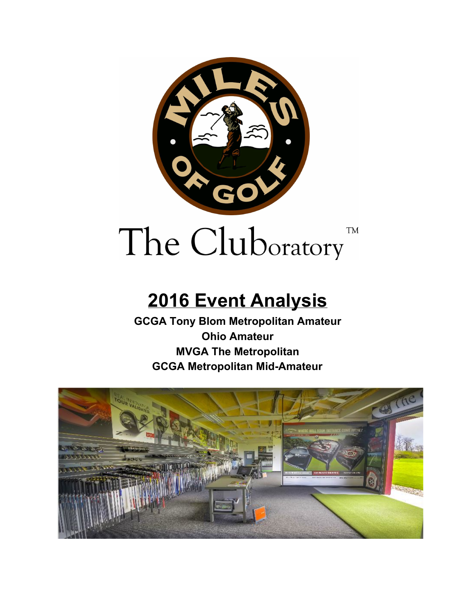

# **2016 Event Analysis**

**GCGA Tony Blom Metropolitan Amateur Ohio Amateur MVGA The Metropolitan GCGA Metropolitan Mid-Amateur**

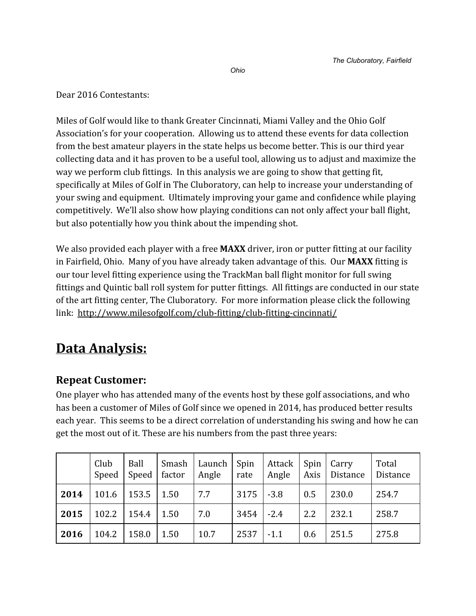Dear 2016 Contestants:

Miles of Golf would like to thank Greater Cincinnati, Miami Valley and the Ohio Golf Association's for your cooperation. Allowing us to attend these events for data collection from the best amateur players in the state helps us become better. This is our third year collecting data and it has proven to be a useful tool, allowing us to adjust and maximize the way we perform club fittings. In this analysis we are going to show that getting fit, specifically at Miles of Golf in The Cluboratory, can help to increase your understanding of your swing and equipment. Ultimately improving your game and confidence while playing competitively. We'll also show how playing conditions can not only affect your ball flight, but also potentially how you think about the impending shot.

We also provided each player with a free **MAXX** driver, iron or putter fitting at our facility in Fairfield, Ohio. Many of you have already taken advantage of this. Our **MAXX** fitting is our tour level fitting experience using the TrackMan ball flight monitor for full swing fittings and Quintic ball roll system for putter fittings. All fittings are conducted in our state of the art fitting center, The Cluboratory. For more information please click the following link: <http://www.milesofgolf.com/club-fitting/club-fitting-cincinnati/>

## **Data Analysis:**

### **Repeat Customer:**

One player who has attended many of the events host by these golf associations, and who has been a customer of Miles of Golf since we opened in 2014, has produced better results each year. This seems to be a direct correlation of understanding his swing and how he can get the most out of it. These are his numbers from the past three years:

|      | Club<br>Speed | Ball<br>Speed | Smash<br>factor | Launch<br>Angle | Spin<br>rate | Attack<br>Angle | Spin<br>Axis | Carry<br>Distance | Total<br>Distance |
|------|---------------|---------------|-----------------|-----------------|--------------|-----------------|--------------|-------------------|-------------------|
| 2014 | 101.6         | 153.5         | 1.50            | 7.7             | 3175         | $-3.8$          | 0.5          | 230.0             | 254.7             |
| 2015 | 102.2         | 154.4         | 1.50            | 7.0             | 3454         | $-2.4$          | 2.2          | 232.1             | 258.7             |
| 2016 | 104.2         | 158.0         | 1.50            | 10.7            | 2537         | $-1.1$          | 0.6          | 251.5             | 275.8             |

*Ohio*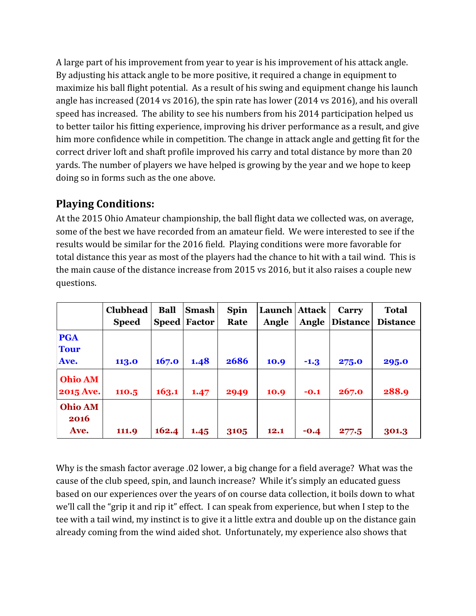A large part of his improvement from year to year is his improvement of his attack angle. By adjusting his attack angle to be more positive, it required a change in equipment to maximize his ball flight potential. As a result of his swing and equipment change his launch angle has increased (2014 vs 2016), the spin rate has lower (2014 vs 2016), and his overall speed has increased. The ability to see his numbers from his 2014 participation helped us to better tailor his fitting experience, improving his driver performance as a result, and give him more confidence while in competition. The change in attack angle and getting fit for the correct driver loft and shaft profile improved his carry and total distance by more than 20 yards. The number of players we have helped is growing by the year and we hope to keep doing so in forms such as the one above.

#### **Playing Conditions:**

At the 2015 Ohio Amateur championship, the ball flight data we collected was, on average, some of the best we have recorded from an amateur field. We were interested to see if the results would be similar for the 2016 field. Playing conditions were more favorable for total distance this year as most of the players had the chance to hit with a tail wind. This is the main cause of the distance increase from 2015 vs 2016, but it also raises a couple new questions.

|                                    | Clubhead<br><b>Speed</b> | <b>Ball</b><br><b>Speed</b> | <b>Smash</b><br>Factor | <b>Spin</b><br>Rate | Launch   Attack  <br>Angle | Angle  | Carry<br><b>Distance</b> | <b>Total</b><br><b>Distance</b> |
|------------------------------------|--------------------------|-----------------------------|------------------------|---------------------|----------------------------|--------|--------------------------|---------------------------------|
| <b>PGA</b><br><b>Tour</b><br>Ave.  | 113.0                    | 167.0                       | 1.48                   | 2686                | 10.9                       | $-1.3$ | 275.0                    | 295.0                           |
| <b>Ohio AM</b><br><b>2015 Ave.</b> | 110.5                    | 163.1                       | 1.47                   | 2949                | 10.9                       | $-0.1$ | 267.0                    | 288.9                           |
| <b>Ohio AM</b><br>2016<br>Ave.     | 111.9                    | 162.4                       | 1.45                   | 3105                | 12.1                       | $-0.4$ | 277.5                    | 301.3                           |

Why is the smash factor average .02 lower, a big change for a field average? What was the cause of the club speed, spin, and launch increase? While it's simply an educated guess based on our experiences over the years of on course data collection, it boils down to what we'll call the "grip it and rip it" effect. I can speak from experience, but when I step to the tee with a tail wind, my instinct is to give it a little extra and double up on the distance gain already coming from the wind aided shot. Unfortunately, my experience also shows that